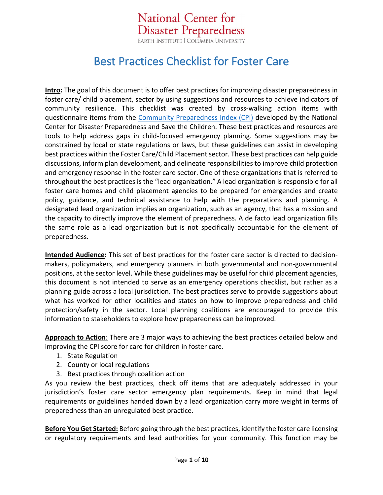National Center for **Disaster Preparedness** EARTH INSTITUTE | COLUMBIA UNIVERSITY

## Best Practices Checklist for Foster Care

**Intro:** The goal of this document is to offer best practices for improving disaster preparedness in foster care/ child placement, sector by using suggestions and resources to achieve indicators of community resilience. This checklist was created by cross-walking action items with questionnaire items from the [Community Preparedness Index \(CPI\)](http://www.savethechildren.org/site/c.8rKLIXMGIpI4E/b.8777055/k.18AB/Get_Ready_Get_Safe_Plan_Ahead.htm) developed by the National Center for Disaster Preparedness and Save the Children. These best practices and resources are tools to help address gaps in child-focused emergency planning. Some suggestions may be constrained by local or state regulations or laws, but these guidelines can assist in developing best practices within the Foster Care/Child Placement sector. These best practices can help guide discussions, inform plan development, and delineate responsibilities to improve child protection and emergency response in the foster care sector. One of these organizations that is referred to throughout the best practices is the "lead organization." A lead organization is responsible for all foster care homes and child placement agencies to be prepared for emergencies and create policy, guidance, and technical assistance to help with the preparations and planning. A designated lead organization implies an organization, such as an agency, that has a mission and the capacity to directly improve the element of preparedness. A de facto lead organization fills the same role as a lead organization but is not specifically accountable for the element of preparedness.

**Intended Audience:** This set of best practices for the foster care sector is directed to decisionmakers, policymakers, and emergency planners in both governmental and non-governmental positions, at the sector level. While these guidelines may be useful for child placement agencies, this document is not intended to serve as an emergency operations checklist, but rather as a planning guide across a local jurisdiction. The best practices serve to provide suggestions about what has worked for other localities and states on how to improve preparedness and child protection/safety in the sector. Local planning coalitions are encouraged to provide this information to stakeholders to explore how preparedness can be improved.

**Approach to Action**: There are 3 major ways to achieving the best practices detailed below and improving the CPI score for care for children in foster care.

- 1. State Regulation
- 2. County or local regulations
- 3. Best practices through coalition action

As you review the best practices, check off items that are adequately addressed in your jurisdiction's foster care sector emergency plan requirements. Keep in mind that legal requirements or guidelines handed down by a lead organization carry more weight in terms of preparedness than an unregulated best practice.

**Before You Get Started:** Before going through the best practices, identify the foster care licensing or regulatory requirements and lead authorities for your community. This function may be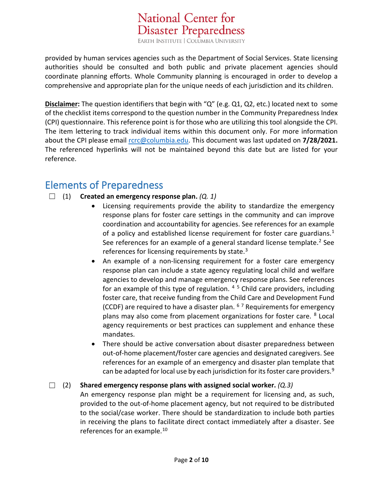**National Center for** 

provided by human services agencies such as the Department of Social Services. State licensing authorities should be consulted and both public and private placement agencies should coordinate planning efforts. Whole Community planning is encouraged in order to develop a comprehensive and appropriate plan for the unique needs of each jurisdiction and its children.

**Disclaimer:** The question identifiers that begin with "Q" (e.g. Q1, Q2, etc.) located next to some of the checklist items correspond to the question number in the Community Preparedness Index (CPI) questionnaire. This reference point is for those who are utilizing this tool alongside the CPI. The item lettering to track individual items within this document only. For more information about the CPI please email [rcrc@columbia.edu.](mailto:rcrc@columbia.edu?subject=CPI%20Inquiry%20-%20Best%20Practice%20Checklist) This document was last updated on **7/28/2021.** The referenced hyperlinks will not be maintained beyond this date but are listed for your reference.

## Elements of Preparedness

- ☐ (1) **Created an emergency response plan.** *(Q. 1)*
	- Licensing requirements provide the ability to standardize the emergency response plans for foster care settings in the community and can improve coordination and accountability for agencies. See references for an example of a policy and established license requirement for foster care guardians. $<sup>1</sup>$  $<sup>1</sup>$  $<sup>1</sup>$ </sup> See references for an example of a general standard license template.<sup>[2](#page-5-1)</sup> See references for licensing requirements by state. $3$
	- An example of a non-licensing requirement for a foster care emergency response plan can include a state agency regulating local child and welfare agencies to develop and manage emergency response plans. See references for an example of this type of regulation.  $4\frac{5}{1}$  $4\frac{5}{1}$  $4\frac{5}{1}$  $4\frac{5}{1}$  Child care providers, including foster care, that receive funding from the Child Care and Development Fund (CCDF) are required to have a disaster plan.  $67$  $67$  Requirements for emergency plans may also come from placement organizations for foster care. <sup>[8](#page-6-4)</sup> Local agency requirements or best practices can supplement and enhance these mandates.
	- There should be active conversation about disaster preparedness between out-of-home placement/foster care agencies and designated caregivers. See references for an example of an emergency and disaster plan template that can be adapted for local use by each jurisdiction for its foster care providers.<sup>[9](#page-6-5)</sup>

☐ (2) **Shared emergency response plans with assigned social worker.** *(Q.3)* An emergency response plan might be a requirement for licensing and, as such, provided to the out-of-home placement agency, but not required to be distributed to the social/case worker. There should be standardization to include both parties in receiving the plans to facilitate direct contact immediately after a disaster. See references for an example.<sup>[10](#page-6-6)</sup>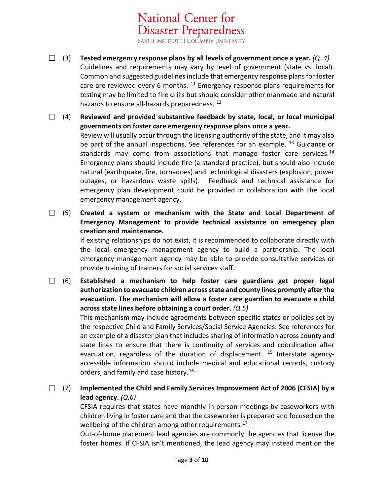**National Center for** 

- ☐ (3) **Tested emergency response plans by all levels of government once a year.** *(Q. 4)* Guidelines and requirements may vary by level of government (state vs. local). Common and suggested guidelines include that emergency response plans for foster care are reviewed every 6 months.  $11$  Emergency response plans requirements for testing may be limited to fire drills but should consider other manmade and natural hazards to ensure all-hazards preparedness.<sup>[12](#page-6-8)</sup>
- ☐ (4) **Reviewed and provided substantive feedback by state, local, or local municipal governments on foster care emergency response plans once a year.** Review will usually occur through the licensing authority of the state, and it may also be part of the annual inspections. See references for an example. <sup>[13](#page-7-0)</sup> Guidance or standards may come from associations that manage foster care services.<sup>[14](#page-7-1)</sup> Emergency plans should include fire (a standard practice), but should also include natural (earthquake, fire, tornadoes) and technological disasters (explosion, power outages, or hazardous waste spills). Feedback and technical assistance for emergency plan development could be provided in collaboration with the local emergency management agency.
- ☐ (5) **Created a system or mechanism with the State and Local Department of Emergency Management to provide technical assistance on emergency plan creation and maintenance.**

If existing relationships do not exist, it is recommended to collaborate directly with the local emergency management agency to build a partnership. The local emergency management agency may be able to provide consultative services or provide training of trainers for social services staff.

☐ (6) **Established a mechanism to help foster care guardians get proper legal authorization to evacuate children across state and county lines promptly after the evacuation. The mechanism will allow a foster care guardian to evacuate a child across state lines before obtaining a court order.** *(Q.5)*

> This mechanism may include agreements between specific states or policies set by the respective Child and Family Services/Social Service Agencies. See references for an example of a disaster plan that includes sharing of information across county and state lines to ensure that there is continuity of services and coordination after evacuation, regardless of the duration of displacement.  $15$  Interstate agencyaccessible information should include medical and educational records, custody orders, and family and case history.<sup>[16](#page-7-3)</sup>

☐ (7) **Implemented the Child and Family Services Improvement Act of 2006 (CFSIA) by a lead agency.** *(Q.6)*

CFSIA requires that states have monthly in-person meetings by caseworkers with children living in foster care and that the caseworker is prepared and focused on the wellbeing of the children among other requirements.<sup>[17](#page-7-4)</sup>

Out-of-home placement lead agencies are commonly the agencies that license the foster homes. If CFSIA isn't mentioned, the lead agency may instead mention the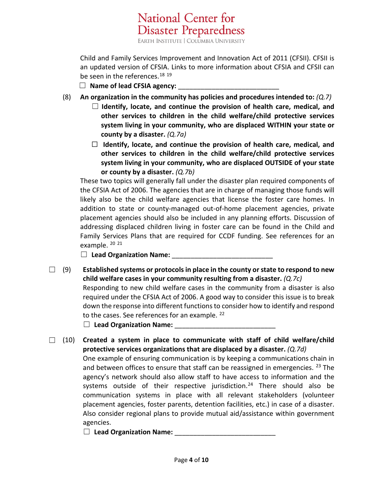**National Center for** 

Child and Family Services Improvement and Innovation Act of 2011 (CFSII). CFSII is an updated version of CFSIA. Links to more information about CFSIA and CFSII can be seen in the references.<sup>[18](#page-7-5) [19](#page-7-6)</sup>

- □ Name of lead CFSIA agency:
- (8) **An organization in the community has policies and procedures intended to:** *(Q.7)*
	- ☐ **Identify, locate, and continue the provision of health care, medical, and other services to children in the child welfare/child protective services system living in your community, who are displaced WITHIN your state or county by a disaster.** *(Q.7a)*
	- ☐ **Identify, locate, and continue the provision of health care, medical, and other services to children in the child welfare/child protective services system living in your community, who are displaced OUTSIDE of your state or county by a disaster.** *(Q.7b)*

These two topics will generally fall under the disaster plan required components of the CFSIA Act of 2006. The agencies that are in charge of managing those funds will likely also be the child welfare agencies that license the foster care homes. In addition to state or county-managed out-of-home placement agencies, private placement agencies should also be included in any planning efforts. Discussion of addressing displaced children living in foster care can be found in the Child and Family Services Plans that are required for CCDF funding. See references for an example.  $2021$  $2021$ 

□ Lead Organization Name:

☐ (9) **Established systems or protocols in place in the county or state to respond to new child welfare cases in your community resulting from a disaster.** *(Q.7c)* Responding to new child welfare cases in the community from a disaster is also required under the CFSIA Act of 2006. A good way to consider this issue is to break down the response into different functions to consider how to identify and respond to the cases. See references for an example.  $^{22}$  $^{22}$  $^{22}$ 

□ Lead Organization Name:

☐ (10) **Created a system in place to communicate with staff of child welfare/child protective services organizations that are displaced by a disaster.** *(Q.7d)* One example of ensuring communication is by keeping a communications chain in and between offices to ensure that staff can be reassigned in emergencies.  $^{23}$  $^{23}$  $^{23}$  The agency's network should also allow staff to have access to information and the systems outside of their respective jurisdiction.<sup>24</sup> There should also be communication systems in place with all relevant stakeholders (volunteer placement agencies, foster parents, detention facilities, etc.) in case of a disaster. Also consider regional plans to provide mutual aid/assistance within government agencies.

□ Lead Organization Name: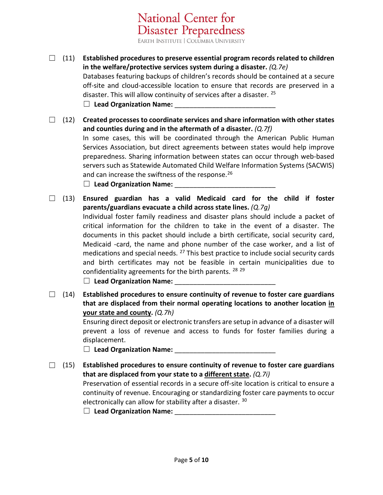**National Center for** 

- ☐ (11) **Established procedures to preserve essential program records related to children in the welfare/protective services system during a disaster.** *(Q.7e)* Databases featuring backups of children's records should be contained at a secure off-site and cloud-accessible location to ensure that records are preserved in a disaster. This will allow continuity of services after a disaster. <sup>[25](#page-8-2)</sup> □ Lead Organization Name:
- ☐ (12) **Created processes to coordinate services and share information with other states and counties during and in the aftermath of a disaster.** *(Q.7f)* In some cases, this will be coordinated through the American Public Human Services Association, but direct agreements between states would help improve preparedness. Sharing information between states can occur through web-based servers such as Statewide Automated Child Welfare Information Systems (SACWIS) and can increase the swiftness of the response.<sup>[26](#page-8-3)</sup> □ Lead Organization Name:
- ☐ (13) **Ensured guardian has a valid Medicaid card for the child if foster parents/guardians evacuate a child across state lines.** *(Q.7g)* Individual foster family readiness and disaster plans should include a packet of critical information for the children to take in the event of a disaster. The documents in this packet should include a birth certificate, social security card, Medicaid -card, the name and phone number of the case worker, and a list of medications and special needs.  $27$  This best practice to include social security cards and birth certificates may not be feasible in certain municipalities due to confidentiality agreements for the birth parents.  $^{28}$  $^{28}$  $^{28}$   $^{29}$  $^{29}$  $^{29}$

□ Lead Organization Name:

☐ (14) **Established procedures to ensure continuity of revenue to foster care guardians that are displaced from their normal operating locations to another location in your state and county.** *(Q.7h)*

> Ensuring direct deposit or electronic transfers are setup in advance of a disaster will prevent a loss of revenue and access to funds for foster families during a displacement.

□ Lead Organization Name:

- ☐ (15) **Established procedures to ensure continuity of revenue to foster care guardians that are displaced from your state to a different state.** *(Q.7i)* Preservation of essential records in a secure off-site location is critical to ensure a continuity of revenue. Encouraging or standardizing foster care payments to occur electronically can allow for stability after a disaster. [30](#page-8-7)
	- □ Lead Organization Name: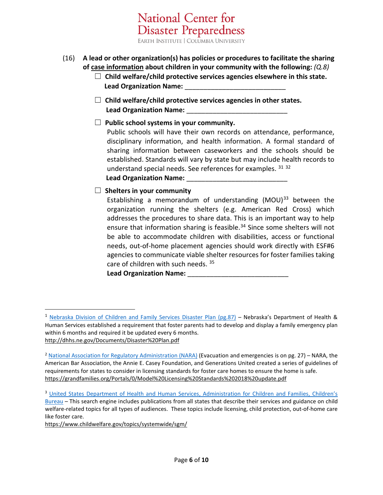**National Center for** 

- (16) **A lead or other organization(s) has policies or procedures to facilitate the sharing of case information about children in your community with the following:** *(Q.8)*
	- ☐ **Child welfare/child protective services agencies elsewhere in this state. Lead Organization Name:**
	- ☐ **Child welfare/child protective services agencies in other states.** Lead Organization Name:
	- ☐ **Public school systems in your community.**

Public schools will have their own records on attendance, performance, disciplinary information, and health information. A formal standard of sharing information between caseworkers and the schools should be established. Standards will vary by state but may include health records to understand special needs. See references for examples. [31](#page-8-8) [32](#page-8-9)

## **Lead Organization Name:** \_\_\_\_\_\_\_\_\_\_\_\_\_\_\_\_\_\_\_\_\_\_\_\_\_\_\_

## ☐ **Shelters in your community**

Establishing a memorandum of understanding  $(MOU)^{33}$  $(MOU)^{33}$  $(MOU)^{33}$  between the organization running the shelters (e.g. American Red Cross) which addresses the procedures to share data. This is an important way to help ensure that information sharing is feasible.<sup>[34](#page-9-1)</sup> Since some shelters will not be able to accommodate children with disabilities, access or functional needs, out-of-home placement agencies should work directly with ESF#6 agencies to communicate viable shelter resources for foster families taking care of children with such needs. [35](#page-9-2)

**Lead Organization Name:** 

<https://www.childwelfare.gov/topics/systemwide/sgm/>

<span id="page-5-0"></span><sup>&</sup>lt;sup>1</sup> [Nebraska Division of Children and Family Services Disaster Plan](http://dhhs.ne.gov/Documents/Disaster%20Plan.pdf) (pg.87) – Nebraska's Department of Health & Human Services established a requirement that foster parents had to develop and display a family emergency plan within 6 months and required it be updated every 6 months. <http://dhhs.ne.gov/Documents/Disaster%20Plan.pdf>

<span id="page-5-1"></span><sup>&</sup>lt;sup>2</sup> [National Association for Regulatory Administration \(NARA\)](https://grandfamilies.org/Portals/0/Model%20Licensing%20Standards%202018%20update.pdf) (Evacuation and emergencies is on pg. 27) – NARA, the American Bar Association, the Annie E. Casey Foundation, and Generations United created a series of guidelines of requirements for states to consider in licensing standards for foster care homes to ensure the home is safe. <https://grandfamilies.org/Portals/0/Model%20Licensing%20Standards%202018%20update.pdf>

<span id="page-5-2"></span><sup>&</sup>lt;sup>3</sup> United States Department of Health and Human Services, Administration for Children and Families, Children's [Bureau](https://www.childwelfare.gov/topics/systemwide/sgm/) – This search engine includes publications from all states that describe their services and guidance on child welfare-related topics for all types of audiences. These topics include licensing, child protection, out-of-home care like foster care.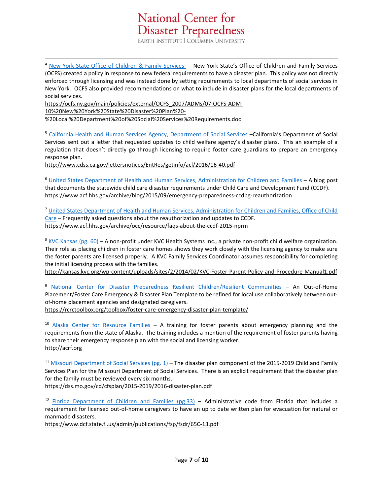<span id="page-6-0"></span><sup>4</sup> [New York State Office of Children & Family Services](https://ocfs.ny.gov/main/policies/external/OCFS_2007/ADMs/07-OCFS-ADM-10%20New%20York%20State%20Disaster%20Plan%20-%20Local%20Department%20of%20Social%20Services%20Requirements.doc) – New York State's Office of Children and Family Services (OCFS) created a policy in response to new federal requirements to have a disaster plan. This policy was not directly enforced through licensing and was instead done by setting requirements to local departments of social services in New York. OCFS also provided recommendations on what to include in disaster plans for the local departments of social services.

[https://ocfs.ny.gov/main/policies/external/OCFS\\_2007/ADMs/07-OCFS-ADM-](https://ocfs.ny.gov/main/policies/external/OCFS_2007/ADMs/07-OCFS-ADM-10%20New%20York%20State%20Disaster%20Plan%20-%20Local%20Department%20of%20Social%20Services%20Requirements.doc)[10%20New%20York%20State%20Disaster%20Plan%20-](https://ocfs.ny.gov/main/policies/external/OCFS_2007/ADMs/07-OCFS-ADM-10%20New%20York%20State%20Disaster%20Plan%20-%20Local%20Department%20of%20Social%20Services%20Requirements.doc) [%20Local%20Department%20of%20Social%20Services%20Requirements.doc](https://ocfs.ny.gov/main/policies/external/OCFS_2007/ADMs/07-OCFS-ADM-10%20New%20York%20State%20Disaster%20Plan%20-%20Local%20Department%20of%20Social%20Services%20Requirements.doc)

<span id="page-6-1"></span><sup>5</sup> [California Health and Human Services Agency, Department of Social Services](http://www.cdss.ca.gov/lettersnotices/EntRes/getinfo/acl/2016/16-40.pdf) –California's Department of Social Services sent out a letter that requested updates to child welfare agency's disaster plans. This an example of a regulation that doesn't directly go through licensing to require foster care guardians to prepare an emergency response plan.

<http://www.cdss.ca.gov/lettersnotices/EntRes/getinfo/acl/2016/16-40.pdf>

<span id="page-6-2"></span><sup>6</sup> [United States Department of Health and Human Services, Administration for Children and Families](https://www.acf.hhs.gov/archive/blog/2015/09/emergency-preparedness-ccdbg-reauthorization) – A blog post that documents the statewide child care disaster requirements under Child Care and Development Fund (CCDF). <https://www.acf.hhs.gov/archive/blog/2015/09/emergency-preparedness-ccdbg-reauthorization>

<span id="page-6-3"></span><sup>7</sup> [United States Department of Health and Human Services, Administration for Children and Families, Office of Child](https://www.acf.hhs.gov/archive/occ/resource/faqs-about-the-ccdf-2015-nprm)  [Care](https://www.acf.hhs.gov/archive/occ/resource/faqs-about-the-ccdf-2015-nprm) – Frequently asked questions about the reauthorization and updates to CCDF. <https://www.acf.hhs.gov/archive/occ/resource/faqs-about-the-ccdf-2015-nprm>

<span id="page-6-4"></span> $8$  [KVC Kansas \(pg. 60\)](http://kansas.kvc.org/wp-content/uploads/sites/2/2014/02/KVC-Foster-Parent-Policy-and-Procedure-Manual1.pdf) – A non-profit under KVC Health Systems Inc., a private non-profit child welfare organization. Their role as placing children in foster care homes shows they work closely with the licensing agency to make sure the foster parents are licensed properly. A KVC Family Services Coordinator assumes responsibility for completing the initial licensing process with the families.

<http://kansas.kvc.org/wp-content/uploads/sites/2/2014/02/KVC-Foster-Parent-Policy-and-Procedure-Manual1.pdf>

<span id="page-6-5"></span><sup>9</sup> [National Center for Disaster Preparedness Resilient Children/Resilient Communities](https://rcrctoolbox.org/toolbox/foster-care-emergency-disaster-plan-template/) – An Out-of-Home Placement/Foster Care Emergency & Disaster Plan Template to be refined for local use collaboratively between outof-home placement agencies and designated caregivers.

<https://rcrctoolbox.org/toolbox/foster-care-emergency-disaster-plan-template/>

<span id="page-6-6"></span> $10$  [Alaska Center for Resource Families](http://acrf.org/) – A training for foster parents about emergency planning and the requirements from the state of Alaska. The training includes a mention of the requirement of foster parents having to share their emergency response plan with the social and licensing worker. [http://acrf.org](http://acrf.org/)

<span id="page-6-7"></span><sup>11</sup> [Missouri Department of Social Services](https://dss.mo.gov/cd/cfsplan/2015-2019/2016-disaster-plan.pdf) (pg. 1) – The disaster plan component of the 2015-2019 Child and Family Services Plan for the Missouri Department of Social Services. There is an explicit requirement that the disaster plan for the family must be reviewed every six months.

<https://dss.mo.gov/cd/cfsplan/2015-2019/2016-disaster-plan.pdf>

<span id="page-6-8"></span> $12$  [Florida Department of Children and Families \(pg.33\)](https://www.dcf.state.fl.us/admin/publications/fsp/fsdr/65C-13.pdf) – Administrative code from Florida that includes a requirement for licensed out-of-home caregivers to have an up to date written plan for evacuation for natural or manmade disasters.

<https://www.dcf.state.fl.us/admin/publications/fsp/fsdr/65C-13.pdf>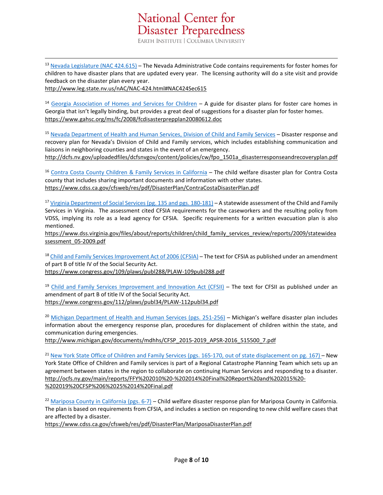

<span id="page-7-0"></span><sup>13</sup> [Nevada Legislature \(NAC 424.615\)](http://www.leg.state.nv.us/nAC/NAC-424.html#NAC424Sec615) – The Nevada Administrative Code contains requirements for foster homes for children to have disaster plans that are updated every year. The licensing authority will do a site visit and provide feedback on the disaster plan every year.

<http://www.leg.state.nv.us/nAC/NAC-424.html#NAC424Sec615>

<span id="page-7-1"></span><sup>14</sup> [Georgia Association of Homes and Services for Children](https://www.gahsc.org/ms/fc/2008/fcdisasterprepplan20080612.doc) – A guide for disaster plans for foster care homes in Georgia that isn't legally binding, but provides a great deal of suggestions for a disaster plan for foster homes. <https://www.gahsc.org/ms/fc/2008/fcdisasterprepplan20080612.doc>

<span id="page-7-2"></span><sup>15</sup> [Nevada Department of Health and Human Services, Division of Child and Family Services](http://dcfs.nv.gov/uploadedfiles/dcfsnvgov/content/policies/cw/fpo_1501a_disasterresponseandrecoveryplan.pdf) – Disaster response and recovery plan for Nevada's Division of Child and Family services, which includes establishing communication and liaisons in neighboring counties and states in the event of an emergency.

[http://dcfs.nv.gov/uploadedfiles/dcfsnvgov/content/policies/cw/fpo\\_1501a\\_disasterresponseandrecoveryplan.pdf](http://dcfs.nv.gov/uploadedfiles/dcfsnvgov/content/policies/cw/fpo_1501a_disasterresponseandrecoveryplan.pdf)

<span id="page-7-3"></span><sup>16</sup> [Contra Costa County Children & Family Services in California](https://www.cdss.ca.gov/cfsweb/res/pdf/DisasterPlan/ContraCostaDisasterPlan.pdf) – The child welfare disaster plan for Contra Costa county that includes sharing important documents and information with other states. <https://www.cdss.ca.gov/cfsweb/res/pdf/DisasterPlan/ContraCostaDisasterPlan.pdf>

<span id="page-7-4"></span><sup>17</sup> [Virginia Department of Social Services \(pg. 135 and pgs. 180-181\)](https://www.dss.virginia.gov/files/about/reports/children/child_family_services_review/reports/2009/statewideassessment_05-2009.pdf) – A statewide assessment of the Child and Family Services in Virginia. The assessment cited CFSIA requirements for the caseworkers and the resulting policy from VDSS, implying its role as a lead agency for CFSIA. Specific requirements for a written evacuation plan is also mentioned.

https://www.dss.virginia.gov/files/about/reports/children/child family services review/reports/2009/statewidea [ssessment\\_05-2009.pdf](https://www.dss.virginia.gov/files/about/reports/children/child_family_services_review/reports/2009/statewideassessment_05-2009.pdf)

<span id="page-7-5"></span><sup>18</sup> [Child and Family Services Improvement Act of 2006 \(CFSIA\)](https://www.congress.gov/109/plaws/publ288/PLAW-109publ288.pdf) – The text for CFSIA as published under an amendment of part B of title IV of the Social Security Act. <https://www.congress.gov/109/plaws/publ288/PLAW-109publ288.pdf>

<span id="page-7-6"></span><sup>19</sup> [Child and Family Services Improvement and Innovation Act \(CFSII\)](https://www.congress.gov/112/plaws/publ34/PLAW-112publ34.pdf) – The text for CFSII as published under an amendment of part B of title IV of the Social Security Act. <https://www.congress.gov/112/plaws/publ34/PLAW-112publ34.pdf>

<span id="page-7-7"></span><sup>20</sup> [Michigan Department of Health and Human Services \(pgs. 251-256\)](http://www.michigan.gov/documents/mdhhs/CFSP_2015-2019_APSR-2016_515500_7.pdf) – Michigan's welfare disaster plan includes information about the emergency response plan, procedures for displacement of children within the state, and communication during emergencies.

[http://www.michigan.gov/documents/mdhhs/CFSP\\_2015-2019\\_APSR-2016\\_515500\\_7.pdf](http://www.michigan.gov/documents/mdhhs/CFSP_2015-2019_APSR-2016_515500_7.pdf)

<span id="page-7-8"></span><sup>21</sup> [New York State Office of Children and Family Services \(pgs. 165-170, out of state displacement on pg. 167\)](http://ocfs.ny.gov/main/reports/FFY%202010%20-%202014%20Final%20Report%20and%202015%20-%202019%20CFSP%206%2025%2014%20Final.pdf) – New York State Office of Children and Family services is part of a Regional Catastrophe Planning Team which sets up an agreement between states in the region to collaborate on continuing Human Services and responding to a disaster. [http://ocfs.ny.gov/main/reports/FFY%202010%20-%202014%20Final%20Report%20and%202015%20-](http://ocfs.ny.gov/main/reports/FFY%202010%20-%202014%20Final%20Report%20and%202015%20-%202019%20CFSP%206%2025%2014%20Final.pdf) [%202019%20CFSP%206%2025%2014%20Final.pdf](http://ocfs.ny.gov/main/reports/FFY%202010%20-%202014%20Final%20Report%20and%202015%20-%202019%20CFSP%206%2025%2014%20Final.pdf)

<span id="page-7-9"></span> $22$  [Mariposa County in California \(pgs. 6-7\)](https://www.cdss.ca.gov/cfsweb/res/pdf/DisasterPlan/MariposaDisasterPlan.pdf) – Child welfare disaster response plan for Mariposa County in California. The plan is based on requirements from CFSIA, and includes a section on responding to new child welfare cases that are affected by a disaster.

<https://www.cdss.ca.gov/cfsweb/res/pdf/DisasterPlan/MariposaDisasterPlan.pdf>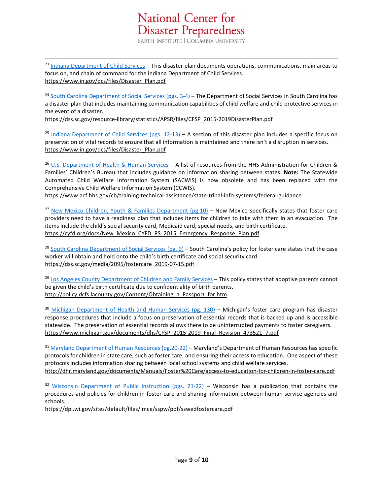<span id="page-8-0"></span><sup>23</sup> [Indiana Department of Child Services](https://www.in.gov/dcs/files/Disaster_Plan.pdf) – This disaster plan documents operations, communications, main areas to focus on, and chain of command for the Indiana Department of Child Services. [https://www.in.gov/dcs/files/Disaster\\_Plan.pdf](https://www.in.gov/dcs/files/Disaster_Plan.pdf)

<span id="page-8-1"></span><sup>24</sup> [South Carolina Department of Social Services \(pgs. 3-4\)](https://dss.sc.gov/resource-library/statistics/APSR/files/CFSP_2015-2019DisasterPlan.pdf) – The Department of Social Services in South Carolina has a disaster plan that includes maintaining communication capabilities of child welfare and child protective services in the event of a disaster.

[https://dss.sc.gov/resource-library/statistics/APSR/files/CFSP\\_2015-2019DisasterPlan.pdf](https://dss.sc.gov/resource-library/statistics/APSR/files/CFSP_2015-2019DisasterPlan.pdf)

<span id="page-8-2"></span><sup>25</sup> Indiana Department of Child Services (pgs.  $12-13$ ) – A section of this disaster plan includes a specific focus on preservation of vital records to ensure that all information is maintained and there isn't a disruption in services. [https://www.in.gov/dcs/files/Disaster\\_Plan.pdf](https://www.in.gov/dcs/files/Disaster_Plan.pdf)

<span id="page-8-3"></span><sup>26</sup> [U.S. Department of Health & Human Services](https://www.acf.hhs.gov/cb/training-technical-assistance/state-tribal-info-systems/federal-guidance) – A list of resources from the HHS Administration for Children & Families' Children's Bureau that includes guidance on information sharing between states. **Note:** The Statewide Automated Child Welfare Information System (SACWIS) is now obsolete and has been replaced with the Comprehensive Child Welfare Information System (CCWIS).

<https://www.acf.hhs.gov/cb/training-technical-assistance/state-tribal-info-systems/federal-guidance>

<span id="page-8-4"></span><sup>27</sup> [New Mexico Children, Youth & Families Department \(pg.10\)](https://cyfd.org/docs/New_Mexico_CYFD_PS_2015_Emergency_Response_Plan.pdf) – New Mexico specifically states that foster care providers need to have a readiness plan that includes items for children to take with them in an evacuation. The items include the child's social security card, Medicaid card, special needs, and birth certificate. [https://cyfd.org/docs/New\\_Mexico\\_CYFD\\_PS\\_2015\\_Emergency\\_Response\\_Plan.pdf](https://cyfd.org/docs/New_Mexico_CYFD_PS_2015_Emergency_Response_Plan.pdf)

<span id="page-8-5"></span><sup>28</sup> South Carolina Department of Social Services (pg.  $9$ ) – South Carolina's policy for foster care states that the case worker will obtain and hold onto the child's birth certificate and social security card. [https://dss.sc.gov/media/2095/fostercare\\_2019-07-15.pdf](https://dss.sc.gov/media/2095/fostercare_2019-07-15.pdf)

<span id="page-8-6"></span><sup>29</sup> [Los Angeles County Department of Children and Family Services](http://policy.dcfs.lacounty.gov/Content/Obtaining_a_Passport_for.htm) – This policy states that adoptive parents cannot be given the child's birth certificate due to confidentiality of birth parents. [http://policy.dcfs.lacounty.gov/Content/Obtaining\\_a\\_Passport\\_for.htm](http://policy.dcfs.lacounty.gov/Content/Obtaining_a_Passport_for.htm)

<span id="page-8-7"></span><sup>30</sup> [Michigan Department of Health and Human Services \(pg. 130\)](https://www.michigan.gov/documents/dhs/CFSP_2015-2019_Final_Revision_473521_7.pdf) – Michigan's foster care program has disaster response procedures that include a focus on preservation of essential records that is backed up and is accessible statewide. The preservation of essential records allows there to be uninterrupted payments to foster caregivers. [https://www.michigan.gov/documents/dhs/CFSP\\_2015-2019\\_Final\\_Revision\\_473521\\_7.pdf](https://www.michigan.gov/documents/dhs/CFSP_2015-2019_Final_Revision_473521_7.pdf)

<span id="page-8-8"></span><sup>31</sup> [Maryland Department of Human Resources \(pg.20-22\)](http://dhr.maryland.gov/documents/Manuals/Foster%20Care/access-to-education-for-children-in-foster-care.pdf) – Maryland's Department of Human Resources has specific protocols for children in state care, such as foster care, and ensuring their access to education. One aspect of these protocols includes information sharing between local school systems and child welfare services. <http://dhr.maryland.gov/documents/Manuals/Foster%20Care/access-to-education-for-children-in-foster-care.pdf>

<span id="page-8-9"></span><sup>32</sup> Wisconsin Department of Public Instruction (pgs.  $21-22$ ) – Wisconsin has a publication that contains the procedures and policies for children in foster care and sharing information between human service agencies and schools.

<https://dpi.wi.gov/sites/default/files/imce/sspw/pdf/sswedfostercare.pdf>